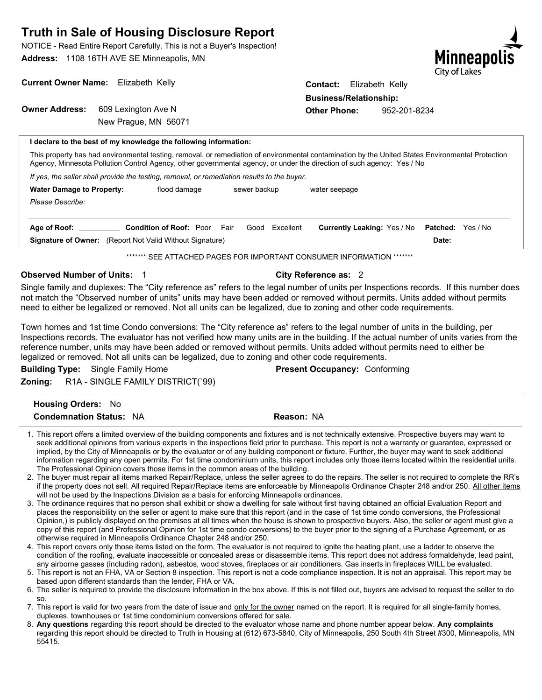NOTICE - Read Entire Report Carefully. This is not a Buyer's Inspection! **Address:** 1108 16TH AVE SE Minneapolis, MN



| Current Owner Name: Elizabeth Kelly |                                                                  | <b>Contact:</b> Elizabeth Kelly |              |  |
|-------------------------------------|------------------------------------------------------------------|---------------------------------|--------------|--|
|                                     |                                                                  | <b>Business/Relationship:</b>   |              |  |
| <b>Owner Address:</b>               | 609 Lexington Ave N                                              | <b>Other Phone:</b>             | 952-201-8234 |  |
|                                     | New Prague, MN 56071                                             |                                 |              |  |
|                                     | I declare to the best of my knowledge the following information: |                                 |              |  |

This property has had environmental testing, removal, or remediation of environmental contamination by the United States Environmental Protection Agency, Minnesota Pollution Control Agency, other governmental agency, or under the direction of such agency: Yes / No

*If yes, the seller shall provide the testing, removal, or remediation results to the buyer.*

| <b>Water Damage to Property:</b><br>Please Describe:                            | flood damage                   | sewer backup |           | water seepage                      |                                   |
|---------------------------------------------------------------------------------|--------------------------------|--------------|-----------|------------------------------------|-----------------------------------|
| Age of Roof:<br><b>Signature of Owner:</b> (Report Not Valid Without Signature) | <b>Condition of Roof: Poor</b> | Fair<br>Good | Excellent | <b>Currently Leaking: Yes / No</b> | <b>Patched:</b> Yes / No<br>Date: |

\*\*\*\*\*\*\* SEE ATTACHED PAGES FOR IMPORTANT CONSUMER INFORMATION \*\*\*\*\*\*\*

#### **Observed Number of Units: 1 1 and 2 and 2 City Reference as: 2 and 2 and 2 and 2 and 2 and 2 and 2 and 2 and 2 and 2 and 2 and 2 and 2 and 2 and 2 and 2 and 2 and 2 and 2 and 2 and 2 and 2 and 2 and 2 and 2 and 2 and 2 an**

Single family and duplexes: The "City reference as" refers to the legal number of units per Inspections records. If this number does not match the "Observed number of units" units may have been added or removed without permits. Units added without permits need to either be legalized or removed. Not all units can be legalized, due to zoning and other code requirements.

Town homes and 1st time Condo conversions: The "City reference as" refers to the legal number of units in the building, per Inspections records. The evaluator has not verified how many units are in the building. If the actual number of units varies from the reference number, units may have been added or removed without permits. Units added without permits need to either be legalized or removed. Not all units can be legalized, due to zoning and other code requirements.

**Building Type:** Single Family Home **Present Occupancy:** Conforming **Zoning:** R1A - SINGLE FAMILY DISTRICT(`99)

| <b>Housing Orders: No</b>      |            |
|--------------------------------|------------|
| <b>Condemnation Status: NA</b> | Reason: NA |

- 1. This report offers a limited overview of the building components and fixtures and is not technically extensive. Prospective buyers may want to seek additional opinions from various experts in the inspections field prior to purchase. This report is not a warranty or guarantee, expressed or implied, by the City of Minneapolis or by the evaluator or of any building component or fixture. Further, the buyer may want to seek additional information regarding any open permits. For 1st time condominium units, this report includes only those items located within the residential units. The Professional Opinion covers those items in the common areas of the building.
- 2. The buyer must repair all items marked Repair/Replace, unless the seller agrees to do the repairs. The seller is not required to complete the RR's if the property does not sell. All required Repair/Replace items are enforceable by Minneapolis Ordinance Chapter 248 and/or 250. All other items will not be used by the Inspections Division as a basis for enforcing Minneapolis ordinances.
- 3. The ordinance requires that no person shall exhibit or show a dwelling for sale without first having obtained an official Evaluation Report and places the responsibility on the seller or agent to make sure that this report (and in the case of 1st time condo conversions, the Professional Opinion,) is publicly displayed on the premises at all times when the house is shown to prospective buyers. Also, the seller or agent must give a copy of this report (and Professional Opinion for 1st time condo conversions) to the buyer prior to the signing of a Purchase Agreement, or as otherwise required in Minneapolis Ordinance Chapter 248 and/or 250.

This report covers only those items listed on the form. The evaluator is not required to ignite the heating plant, use a ladder to observe the 4. condition of the roofing, evaluate inaccessible or concealed areas or disassemble items. This report does not address formaldehyde, lead paint, any airborne gasses (including radon), asbestos, wood stoves, fireplaces or air conditioners. Gas inserts in fireplaces WILL be evaluated.

- 5. This report is not an FHA, VA or Section 8 inspection. This report is not a code compliance inspection. It is not an appraisal. This report may be based upon different standards than the lender, FHA or VA.
- 6. The seller is required to provide the disclosure information in the box above. If this is not filled out, buyers are advised to request the seller to do so.
- 7. This report is valid for two years from the date of issue and <u>only for the owner</u> named on the report. It is required for all single-family homes, duplexes, townhouses or 1st time condominium conversions offered for sale.
- **Any questions** regarding this report should be directed to the evaluator whose name and phone number appear below. **Any complaints** 8. regarding this report should be directed to Truth in Housing at (612) 673-5840, City of Minneapolis, 250 South 4th Street #300, Minneapolis, MN 55415.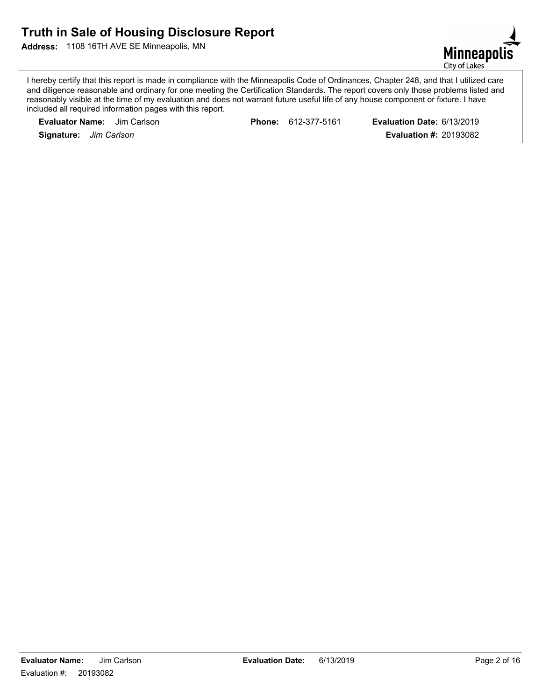**Address:** 1108 16TH AVE SE Minneapolis, MN



I hereby certify that this report is made in compliance with the Minneapolis Code of Ordinances, Chapter 248, and that I utilized care and diligence reasonable and ordinary for one meeting the Certification Standards. The report covers only those problems listed and reasonably visible at the time of my evaluation and does not warrant future useful life of any house component or fixture. I have included all required information pages with this report.

| <b>Evaluator Name:</b> Jim Carlson | <b>Phone: 612-377-5161</b> | Evaluation Date: 6/13/2019    |
|------------------------------------|----------------------------|-------------------------------|
| <b>Signature:</b> Jim Carlson      |                            | <b>Evaluation #: 20193082</b> |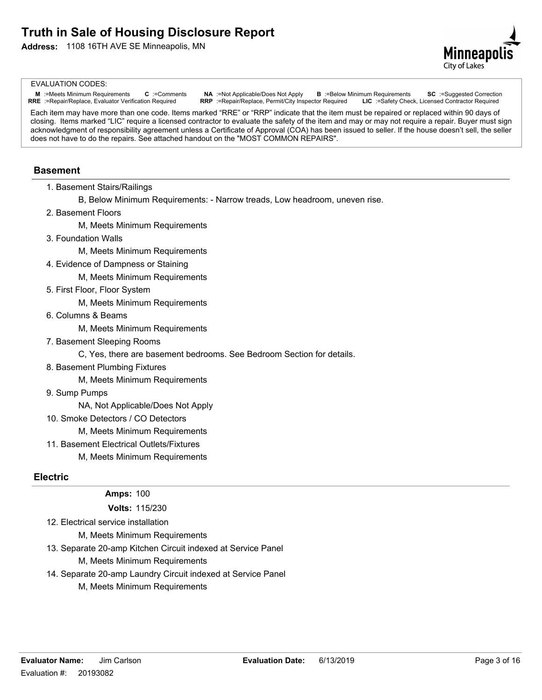**Address:** 1108 16TH AVE SE Minneapolis, MN



#### EVALUATION CODES:

**M** :=Meets Minimum Requirements **C** :=Comments **NA** :=Not Applicable/Does Not Apply **B** :=Below Minimum Requirements **SC** :=Suggested Correction **RRE** :=Repair/Replace, Evaluator Verification Required **RRP** :=Repair/Repl RRP :=Repair/Replace, Permit/City Inspector Required **LIC** :=Safety Check, Licensed Contractor Required

Each item may have more than one code. Items marked "RRE" or "RRP" indicate that the item must be repaired or replaced within 90 days of closing. Items marked "LIC" require a licensed contractor to evaluate the safety of the item and may or may not require a repair. Buyer must sign acknowledgment of responsibility agreement unless a Certificate of Approval (COA) has been issued to seller. If the house doesn't sell, the seller does not have to do the repairs. See attached handout on the "MOST COMMON REPAIRS".

#### **Basement**

- 1. Basement Stairs/Railings
	- B, Below Minimum Requirements: Narrow treads, Low headroom, uneven rise.
- 2. Basement Floors

M, Meets Minimum Requirements

3. Foundation Walls

M, Meets Minimum Requirements

4. Evidence of Dampness or Staining

M, Meets Minimum Requirements

5. First Floor, Floor System

M, Meets Minimum Requirements

6. Columns & Beams

M, Meets Minimum Requirements

7. Basement Sleeping Rooms

C, Yes, there are basement bedrooms. See Bedroom Section for details.

8. Basement Plumbing Fixtures

M, Meets Minimum Requirements

9. Sump Pumps

NA, Not Applicable/Does Not Apply

10. Smoke Detectors / CO Detectors

M, Meets Minimum Requirements

11. Basement Electrical Outlets/Fixtures

M, Meets Minimum Requirements

### **Electric**

#### **Amps:** 100

**Volts:** 115/230

12. Electrical service installation

M, Meets Minimum Requirements

13. Separate 20-amp Kitchen Circuit indexed at Service Panel

- M, Meets Minimum Requirements
- 14. Separate 20-amp Laundry Circuit indexed at Service Panel
	- M, Meets Minimum Requirements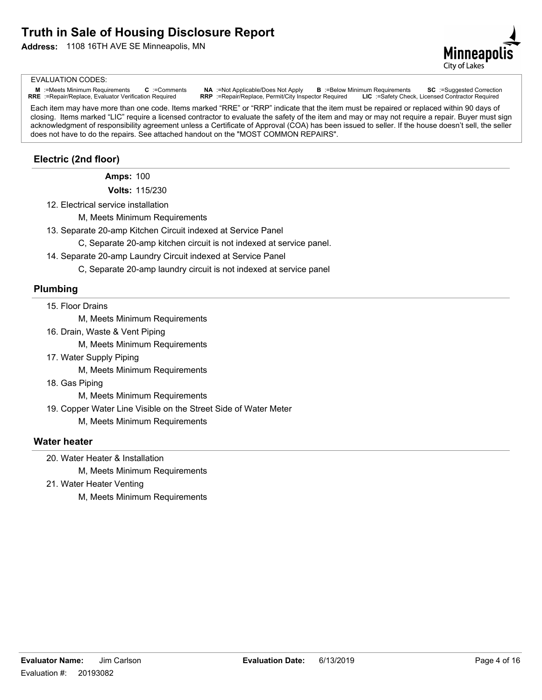**Address:** 1108 16TH AVE SE Minneapolis, MN



#### EVALUATION CODES:

M :=Meets Minimum Requirements C :=Comments NA :=Not Applicable/Does Not Apply B :=Below Minimum Requirements SC :=Suggested Correction<br>RRE :=Repair/Replace, Evaluator Verification Required RRP :=Repair/Replace, Permit/Ci

Each item may have more than one code. Items marked "RRE" or "RRP" indicate that the item must be repaired or replaced within 90 days of closing. Items marked "LIC" require a licensed contractor to evaluate the safety of the item and may or may not require a repair. Buyer must sign acknowledgment of responsibility agreement unless a Certificate of Approval (COA) has been issued to seller. If the house doesn't sell, the seller does not have to do the repairs. See attached handout on the "MOST COMMON REPAIRS".

# **Electric (2nd floor)**

**Amps:** 100

**Volts:** 115/230

- 12. Electrical service installation
	- M, Meets Minimum Requirements
- 13. Separate 20-amp Kitchen Circuit indexed at Service Panel
	- C, Separate 20-amp kitchen circuit is not indexed at service panel.
- 14. Separate 20-amp Laundry Circuit indexed at Service Panel
	- C, Separate 20-amp laundry circuit is not indexed at service panel

#### **Plumbing**

#### 15. Floor Drains

M, Meets Minimum Requirements

16. Drain, Waste & Vent Piping

M, Meets Minimum Requirements

17. Water Supply Piping

M, Meets Minimum Requirements

18. Gas Piping

M, Meets Minimum Requirements

19. Copper Water Line Visible on the Street Side of Water Meter

M, Meets Minimum Requirements

### **Water heater**

- 20. Water Heater & Installation
	- M, Meets Minimum Requirements
- 21. Water Heater Venting
	- M, Meets Minimum Requirements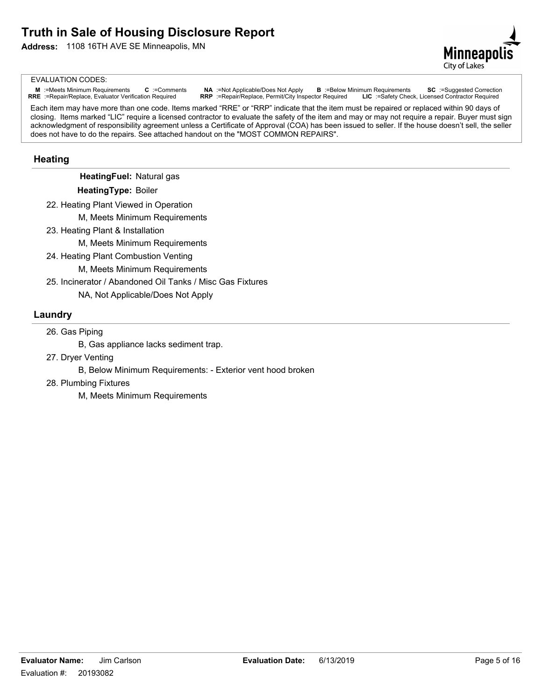

#### EVALUATION CODES:

M :=Meets Minimum Requirements C :=Comments NA :=Not Applicable/Does Not Apply B :=Below Minimum Requirements SC :=Suggested Correction<br>RRE :=Repair/Replace, Evaluator Verification Required RRP :=Repair/Replace, Permit/Ci

Each item may have more than one code. Items marked "RRE" or "RRP" indicate that the item must be repaired or replaced within 90 days of closing. Items marked "LIC" require a licensed contractor to evaluate the safety of the item and may or may not require a repair. Buyer must sign acknowledgment of responsibility agreement unless a Certificate of Approval (COA) has been issued to seller. If the house doesn't sell, the seller does not have to do the repairs. See attached handout on the "MOST COMMON REPAIRS".

### **Heating**

**HeatingFuel:** Natural gas

**HeatingType:** Boiler

- 22. Heating Plant Viewed in Operation
	- M, Meets Minimum Requirements
- 23. Heating Plant & Installation

M, Meets Minimum Requirements

- 24. Heating Plant Combustion Venting
	- M, Meets Minimum Requirements
- 25. Incinerator / Abandoned Oil Tanks / Misc Gas Fixtures

NA, Not Applicable/Does Not Apply

#### **Laundry**

26. Gas Piping

B, Gas appliance lacks sediment trap.

27. Dryer Venting

B, Below Minimum Requirements: - Exterior vent hood broken

28. Plumbing Fixtures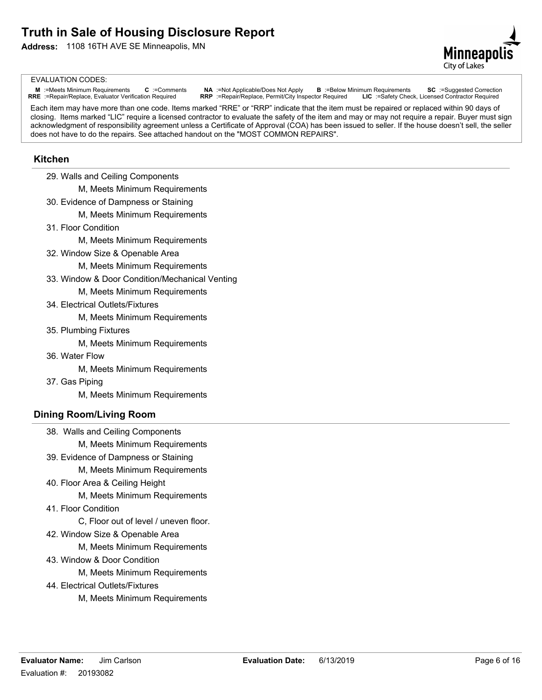

#### EVALUATION CODES:

M :=Meets Minimum Requirements C :=Comments NA :=Not Applicable/Does Not Apply B :=Below Minimum Requirements SC :=Suggested Correction<br>RRE :=Repair/Replace, Evaluator Verification Required RRP :=Repair/Replace, Permit/Ci

Each item may have more than one code. Items marked "RRE" or "RRP" indicate that the item must be repaired or replaced within 90 days of closing. Items marked "LIC" require a licensed contractor to evaluate the safety of the item and may or may not require a repair. Buyer must sign acknowledgment of responsibility agreement unless a Certificate of Approval (COA) has been issued to seller. If the house doesn't sell, the seller does not have to do the repairs. See attached handout on the "MOST COMMON REPAIRS".

### **Kitchen**

29. Walls and Ceiling Components

M, Meets Minimum Requirements

- 30. Evidence of Dampness or Staining
	- M, Meets Minimum Requirements
- 31. Floor Condition

M, Meets Minimum Requirements

- 32. Window Size & Openable Area
	- M, Meets Minimum Requirements
- 33. Window & Door Condition/Mechanical Venting

M, Meets Minimum Requirements

34. Electrical Outlets/Fixtures

M, Meets Minimum Requirements

35. Plumbing Fixtures

M, Meets Minimum Requirements

36. Water Flow

M, Meets Minimum Requirements

37. Gas Piping

M, Meets Minimum Requirements

### **Dining Room/Living Room**

38. Walls and Ceiling Components

M, Meets Minimum Requirements

39. Evidence of Dampness or Staining

M, Meets Minimum Requirements

40. Floor Area & Ceiling Height

M, Meets Minimum Requirements

41. Floor Condition

C, Floor out of level / uneven floor.

42. Window Size & Openable Area

M, Meets Minimum Requirements

43. Window & Door Condition

- 44. Electrical Outlets/Fixtures
	- M, Meets Minimum Requirements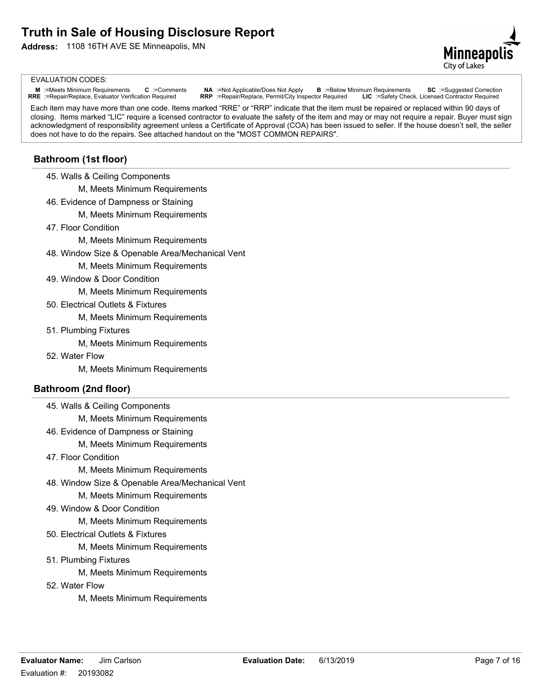**Address:** 1108 16TH AVE SE Minneapolis, MN



#### EVALUATION CODES:

M :=Meets Minimum Requirements C :=Comments NA :=Not Applicable/Does Not Apply B :=Below Minimum Requirements SC :=Suggested Correction<br>RRE :=Repair/Replace, Evaluator Verification Required RRP :=Repair/Replace, Permit/Ci

Each item may have more than one code. Items marked "RRE" or "RRP" indicate that the item must be repaired or replaced within 90 days of closing. Items marked "LIC" require a licensed contractor to evaluate the safety of the item and may or may not require a repair. Buyer must sign acknowledgment of responsibility agreement unless a Certificate of Approval (COA) has been issued to seller. If the house doesn't sell, the seller does not have to do the repairs. See attached handout on the "MOST COMMON REPAIRS".

### **Bathroom (1st floor)**

45. Walls & Ceiling Components

M, Meets Minimum Requirements

- 46. Evidence of Dampness or Staining
	- M, Meets Minimum Requirements
- 47. Floor Condition
	- M, Meets Minimum Requirements
- 48. Window Size & Openable Area/Mechanical Vent

M, Meets Minimum Requirements

49. Window & Door Condition

M, Meets Minimum Requirements

50. Electrical Outlets & Fixtures

M, Meets Minimum Requirements

51. Plumbing Fixtures

M, Meets Minimum Requirements

52. Water Flow

M, Meets Minimum Requirements

### **Bathroom (2nd floor)**

45. Walls & Ceiling Components

M, Meets Minimum Requirements

- 46. Evidence of Dampness or Staining
	- M, Meets Minimum Requirements
- 47. Floor Condition
	- M, Meets Minimum Requirements
- 48. Window Size & Openable Area/Mechanical Vent

M, Meets Minimum Requirements

49. Window & Door Condition

M, Meets Minimum Requirements

50. Electrical Outlets & Fixtures

M, Meets Minimum Requirements

51. Plumbing Fixtures

- 52. Water Flow
	- M, Meets Minimum Requirements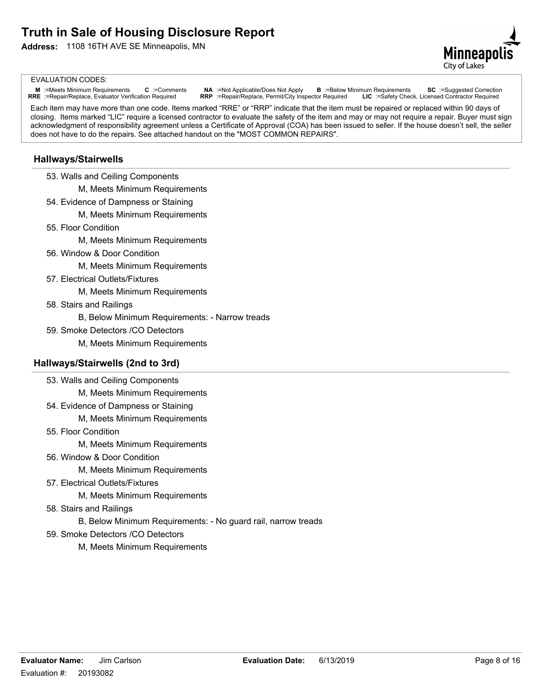**Address:** 1108 16TH AVE SE Minneapolis, MN



#### EVALUATION CODES:

M :=Meets Minimum Requirements C :=Comments NA :=Not Applicable/Does Not Apply B :=Below Minimum Requirements SC :=Suggested Correction<br>RRE :=Repair/Replace, Evaluator Verification Required RRP :=Repair/Replace, Permit/Ci

Each item may have more than one code. Items marked "RRE" or "RRP" indicate that the item must be repaired or replaced within 90 days of closing. Items marked "LIC" require a licensed contractor to evaluate the safety of the item and may or may not require a repair. Buyer must sign acknowledgment of responsibility agreement unless a Certificate of Approval (COA) has been issued to seller. If the house doesn't sell, the seller does not have to do the repairs. See attached handout on the "MOST COMMON REPAIRS".

### **Hallways/Stairwells**

53. Walls and Ceiling Components

M, Meets Minimum Requirements

- 54. Evidence of Dampness or Staining
	- M, Meets Minimum Requirements
- 55. Floor Condition
	- M, Meets Minimum Requirements
- 56. Window & Door Condition

M, Meets Minimum Requirements

57. Electrical Outlets/Fixtures

M, Meets Minimum Requirements

58. Stairs and Railings

B, Below Minimum Requirements: - Narrow treads

59. Smoke Detectors /CO Detectors

M, Meets Minimum Requirements

#### **Hallways/Stairwells (2nd to 3rd)**

- 53. Walls and Ceiling Components
	- M, Meets Minimum Requirements
- 54. Evidence of Dampness or Staining
	- M, Meets Minimum Requirements
- 55. Floor Condition

M, Meets Minimum Requirements

56. Window & Door Condition

M, Meets Minimum Requirements

57. Electrical Outlets/Fixtures

- 58. Stairs and Railings
	- B, Below Minimum Requirements: No guard rail, narrow treads
- 59. Smoke Detectors /CO Detectors
	- M, Meets Minimum Requirements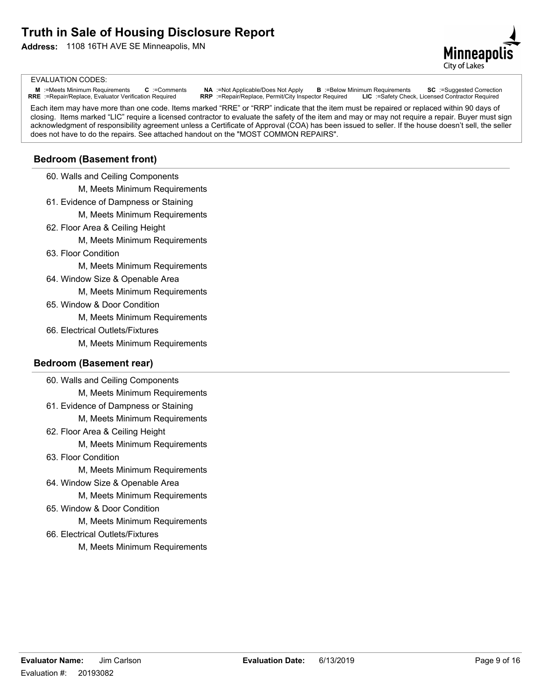**Address:** 1108 16TH AVE SE Minneapolis, MN



#### EVALUATION CODES:

M :=Meets Minimum Requirements C :=Comments NA :=Not Applicable/Does Not Apply B :=Below Minimum Requirements SC :=Suggested Correction<br>RRE :=Repair/Replace, Evaluator Verification Required RRP :=Repair/Replace, Permit/Ci

Each item may have more than one code. Items marked "RRE" or "RRP" indicate that the item must be repaired or replaced within 90 days of closing. Items marked "LIC" require a licensed contractor to evaluate the safety of the item and may or may not require a repair. Buyer must sign acknowledgment of responsibility agreement unless a Certificate of Approval (COA) has been issued to seller. If the house doesn't sell, the seller does not have to do the repairs. See attached handout on the "MOST COMMON REPAIRS".

#### **Bedroom (Basement front)**

60. Walls and Ceiling Components

M, Meets Minimum Requirements

- 61. Evidence of Dampness or Staining
	- M, Meets Minimum Requirements
- 62. Floor Area & Ceiling Height
	- M, Meets Minimum Requirements
- 63. Floor Condition

M, Meets Minimum Requirements

64. Window Size & Openable Area

M, Meets Minimum Requirements

65. Window & Door Condition

M, Meets Minimum Requirements

66. Electrical Outlets/Fixtures

M, Meets Minimum Requirements

#### **Bedroom (Basement rear)**

60. Walls and Ceiling Components

- M, Meets Minimum Requirements
- 61. Evidence of Dampness or Staining

M, Meets Minimum Requirements

62. Floor Area & Ceiling Height

M, Meets Minimum Requirements

63. Floor Condition

M, Meets Minimum Requirements

64. Window Size & Openable Area

M, Meets Minimum Requirements

65. Window & Door Condition

- 66. Electrical Outlets/Fixtures
	- M, Meets Minimum Requirements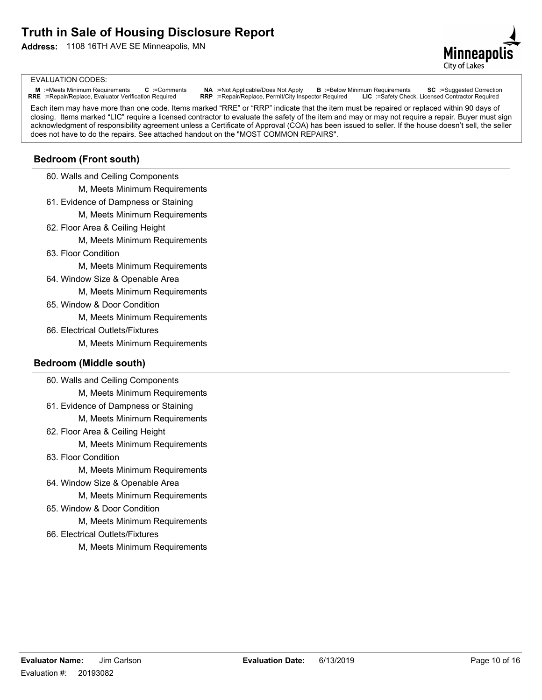**Address:** 1108 16TH AVE SE Minneapolis, MN



#### EVALUATION CODES:

M :=Meets Minimum Requirements C :=Comments NA :=Not Applicable/Does Not Apply B :=Below Minimum Requirements SC :=Suggested Correction<br>RRE :=Repair/Replace, Evaluator Verification Required RRP :=Repair/Replace, Permit/Ci

Each item may have more than one code. Items marked "RRE" or "RRP" indicate that the item must be repaired or replaced within 90 days of closing. Items marked "LIC" require a licensed contractor to evaluate the safety of the item and may or may not require a repair. Buyer must sign acknowledgment of responsibility agreement unless a Certificate of Approval (COA) has been issued to seller. If the house doesn't sell, the seller does not have to do the repairs. See attached handout on the "MOST COMMON REPAIRS".

# **Bedroom (Front south)**

60. Walls and Ceiling Components

M, Meets Minimum Requirements

- 61. Evidence of Dampness or Staining
	- M, Meets Minimum Requirements
- 62. Floor Area & Ceiling Height
	- M, Meets Minimum Requirements
- 63. Floor Condition

M, Meets Minimum Requirements

64. Window Size & Openable Area

M, Meets Minimum Requirements

65. Window & Door Condition

M, Meets Minimum Requirements

66. Electrical Outlets/Fixtures

M, Meets Minimum Requirements

#### **Bedroom (Middle south)**

60. Walls and Ceiling Components

M, Meets Minimum Requirements

61. Evidence of Dampness or Staining

M, Meets Minimum Requirements

62. Floor Area & Ceiling Height

M, Meets Minimum Requirements

63. Floor Condition

M, Meets Minimum Requirements

64. Window Size & Openable Area

M, Meets Minimum Requirements

65. Window & Door Condition

- 66. Electrical Outlets/Fixtures
	- M, Meets Minimum Requirements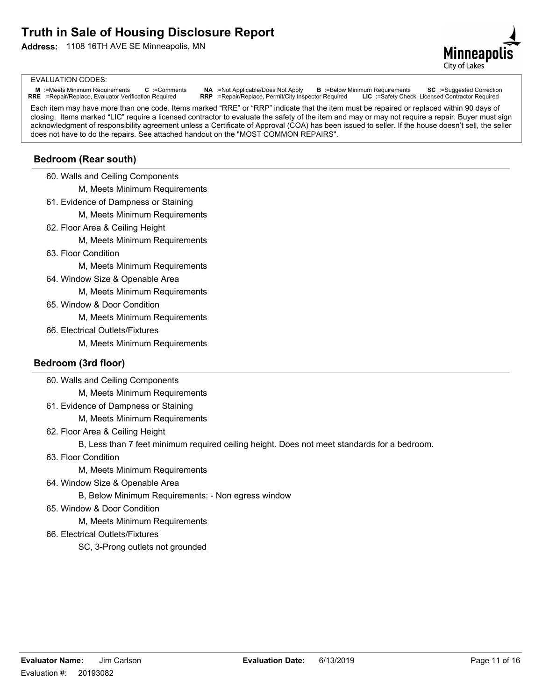**Address:** 1108 16TH AVE SE Minneapolis, MN



#### EVALUATION CODES:

M :=Meets Minimum Requirements C :=Comments NA :=Not Applicable/Does Not Apply B :=Below Minimum Requirements SC :=Suggested Correction<br>RRE :=Repair/Replace, Evaluator Verification Required RRP :=Repair/Replace, Permit/Ci

Each item may have more than one code. Items marked "RRE" or "RRP" indicate that the item must be repaired or replaced within 90 days of closing. Items marked "LIC" require a licensed contractor to evaluate the safety of the item and may or may not require a repair. Buyer must sign acknowledgment of responsibility agreement unless a Certificate of Approval (COA) has been issued to seller. If the house doesn't sell, the seller does not have to do the repairs. See attached handout on the "MOST COMMON REPAIRS".

### **Bedroom (Rear south)**

60. Walls and Ceiling Components

M, Meets Minimum Requirements

- 61. Evidence of Dampness or Staining
	- M, Meets Minimum Requirements
- 62. Floor Area & Ceiling Height
	- M, Meets Minimum Requirements
- 63. Floor Condition

M, Meets Minimum Requirements

64. Window Size & Openable Area

M, Meets Minimum Requirements

65. Window & Door Condition

M, Meets Minimum Requirements

66. Electrical Outlets/Fixtures

M, Meets Minimum Requirements

### **Bedroom (3rd floor)**

60. Walls and Ceiling Components

M, Meets Minimum Requirements

- 61. Evidence of Dampness or Staining
	- M, Meets Minimum Requirements
- 62. Floor Area & Ceiling Height

B, Less than 7 feet minimum required ceiling height. Does not meet standards for a bedroom.

63. Floor Condition

M, Meets Minimum Requirements

64. Window Size & Openable Area

B, Below Minimum Requirements: - Non egress window

65. Window & Door Condition

M, Meets Minimum Requirements

66. Electrical Outlets/Fixtures

SC, 3-Prong outlets not grounded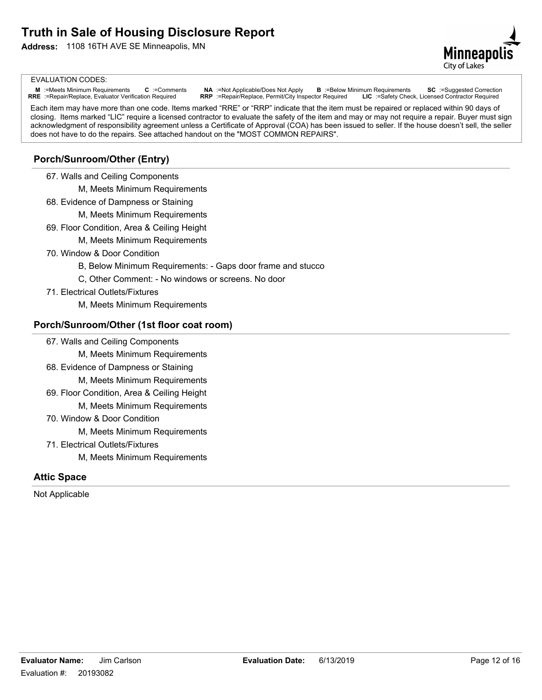**Address:** 1108 16TH AVE SE Minneapolis, MN



#### EVALUATION CODES:

M :=Meets Minimum Requirements C :=Comments NA :=Not Applicable/Does Not Apply B :=Below Minimum Requirements SC :=Suggested Correction<br>RRE :=Repair/Replace, Evaluator Verification Required RRP :=Repair/Replace, Permit/Ci

Each item may have more than one code. Items marked "RRE" or "RRP" indicate that the item must be repaired or replaced within 90 days of closing. Items marked "LIC" require a licensed contractor to evaluate the safety of the item and may or may not require a repair. Buyer must sign acknowledgment of responsibility agreement unless a Certificate of Approval (COA) has been issued to seller. If the house doesn't sell, the seller does not have to do the repairs. See attached handout on the "MOST COMMON REPAIRS".

# **Porch/Sunroom/Other (Entry)**

67. Walls and Ceiling Components

M, Meets Minimum Requirements

- 68. Evidence of Dampness or Staining
	- M, Meets Minimum Requirements
- 69. Floor Condition, Area & Ceiling Height
	- M, Meets Minimum Requirements
- 70. Window & Door Condition
	- B, Below Minimum Requirements: Gaps door frame and stucco
	- C, Other Comment: No windows or screens. No door
- 71. Electrical Outlets/Fixtures

M, Meets Minimum Requirements

### **Porch/Sunroom/Other (1st floor coat room)**

- 67. Walls and Ceiling Components
	- M, Meets Minimum Requirements
- 68. Evidence of Dampness or Staining
	- M, Meets Minimum Requirements
- 69. Floor Condition, Area & Ceiling Height M, Meets Minimum Requirements
- 70. Window & Door Condition

M, Meets Minimum Requirements

- 71. Electrical Outlets/Fixtures
	- M, Meets Minimum Requirements

#### **Attic Space**

Not Applicable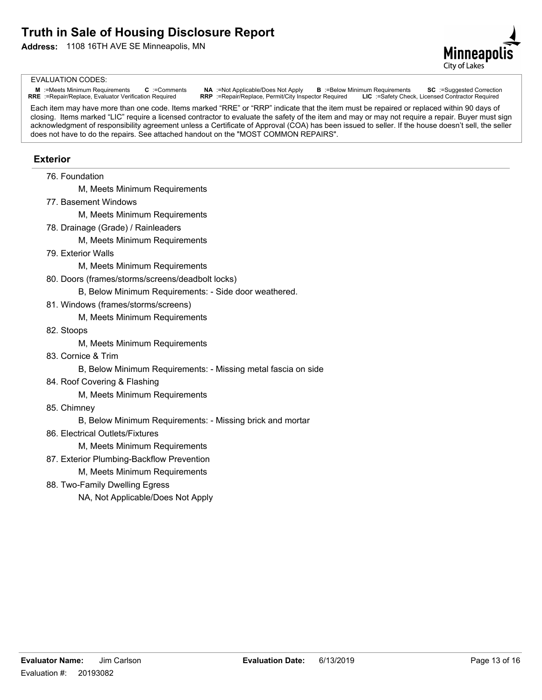

#### EVALUATION CODES:

M :=Meets Minimum Requirements C :=Comments NA :=Not Applicable/Does Not Apply B :=Below Minimum Requirements SC :=Suggested Correction<br>RRE :=Repair/Replace, Evaluator Verification Required RRP :=Repair/Replace, Permit/Ci

Each item may have more than one code. Items marked "RRE" or "RRP" indicate that the item must be repaired or replaced within 90 days of closing. Items marked "LIC" require a licensed contractor to evaluate the safety of the item and may or may not require a repair. Buyer must sign acknowledgment of responsibility agreement unless a Certificate of Approval (COA) has been issued to seller. If the house doesn't sell, the seller does not have to do the repairs. See attached handout on the "MOST COMMON REPAIRS".

### **Exterior**

76. Foundation

M, Meets Minimum Requirements

77. Basement Windows

M, Meets Minimum Requirements

78. Drainage (Grade) / Rainleaders

M, Meets Minimum Requirements

79. Exterior Walls

M, Meets Minimum Requirements

80. Doors (frames/storms/screens/deadbolt locks)

B, Below Minimum Requirements: - Side door weathered.

81. Windows (frames/storms/screens)

M, Meets Minimum Requirements

82. Stoops

M, Meets Minimum Requirements

83. Cornice & Trim

B, Below Minimum Requirements: - Missing metal fascia on side

84. Roof Covering & Flashing

M, Meets Minimum Requirements

85. Chimney

B, Below Minimum Requirements: - Missing brick and mortar

- 86. Electrical Outlets/Fixtures
	- M, Meets Minimum Requirements
- 87. Exterior Plumbing-Backflow Prevention
	- M, Meets Minimum Requirements
- 88. Two-Family Dwelling Egress

NA, Not Applicable/Does Not Apply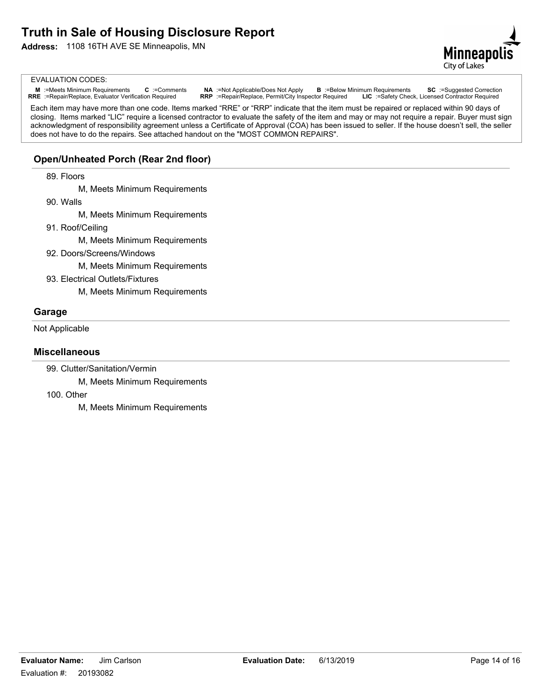**Address:** 1108 16TH AVE SE Minneapolis, MN



#### EVALUATION CODES:

M :=Meets Minimum Requirements C :=Comments NA :=Not Applicable/Does Not Apply B :=Below Minimum Requirements SC :=Suggested Correction<br>RRE :=Repair/Replace, Evaluator Verification Required RRP :=Repair/Replace, Permit/Ci

Each item may have more than one code. Items marked "RRE" or "RRP" indicate that the item must be repaired or replaced within 90 days of closing. Items marked "LIC" require a licensed contractor to evaluate the safety of the item and may or may not require a repair. Buyer must sign acknowledgment of responsibility agreement unless a Certificate of Approval (COA) has been issued to seller. If the house doesn't sell, the seller does not have to do the repairs. See attached handout on the "MOST COMMON REPAIRS".

# **Open/Unheated Porch (Rear 2nd floor)**

#### 89. Floors

M, Meets Minimum Requirements

90. Walls

M, Meets Minimum Requirements

91. Roof/Ceiling

M, Meets Minimum Requirements

92. Doors/Screens/Windows

M, Meets Minimum Requirements

- 93. Electrical Outlets/Fixtures
	- M, Meets Minimum Requirements

#### **Garage**

Not Applicable

#### **Miscellaneous**

99. Clutter/Sanitation/Vermin

M, Meets Minimum Requirements

100. Other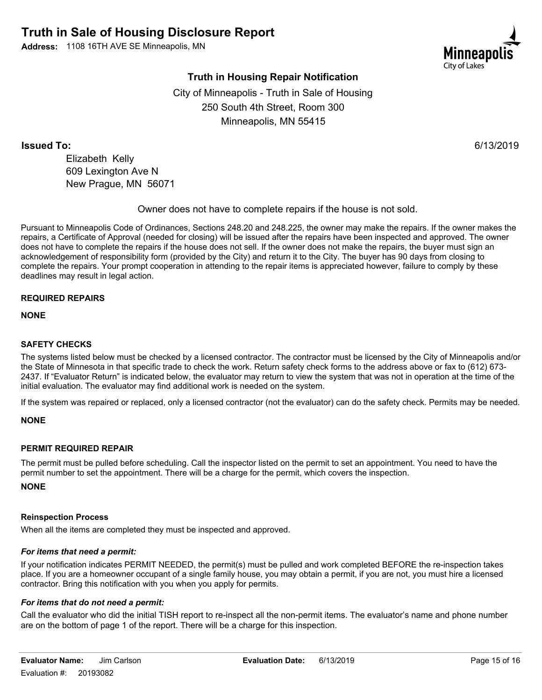

# **Truth in Housing Repair Notification**

City of Minneapolis - Truth in Sale of Housing 250 South 4th Street, Room 300 Minneapolis, MN 55415

**Issued To:** 6/13/2019

Elizabeth Kelly 609 Lexington Ave N New Prague, MN 56071

Owner does not have to complete repairs if the house is not sold.

Pursuant to Minneapolis Code of Ordinances, Sections 248.20 and 248.225, the owner may make the repairs. If the owner makes the repairs, a Certificate of Approval (needed for closing) will be issued after the repairs have been inspected and approved. The owner does not have to complete the repairs if the house does not sell. If the owner does not make the repairs, the buyer must sign an acknowledgement of responsibility form (provided by the City) and return it to the City. The buyer has 90 days from closing to complete the repairs. Your prompt cooperation in attending to the repair items is appreciated however, failure to comply by these deadlines may result in legal action.

#### **REQUIRED REPAIRS**

**NONE**

### **SAFETY CHECKS**

The systems listed below must be checked by a licensed contractor. The contractor must be licensed by the City of Minneapolis and/or the State of Minnesota in that specific trade to check the work. Return safety check forms to the address above or fax to (612) 673- 2437. If "Evaluator Return" is indicated below, the evaluator may return to view the system that was not in operation at the time of the initial evaluation. The evaluator may find additional work is needed on the system.

If the system was repaired or replaced, only a licensed contractor (not the evaluator) can do the safety check. Permits may be needed.

#### **NONE**

#### **PERMIT REQUIRED REPAIR**

The permit must be pulled before scheduling. Call the inspector listed on the permit to set an appointment. You need to have the permit number to set the appointment. There will be a charge for the permit, which covers the inspection.

**NONE**

#### **Reinspection Process**

When all the items are completed they must be inspected and approved.

#### *For items that need a permit:*

If your notification indicates PERMIT NEEDED, the permit(s) must be pulled and work completed BEFORE the re-inspection takes place. If you are a homeowner occupant of a single family house, you may obtain a permit, if you are not, you must hire a licensed contractor. Bring this notification with you when you apply for permits.

#### *For items that do not need a permit:*

Call the evaluator who did the initial TISH report to re-inspect all the non-permit items. The evaluator's name and phone number are on the bottom of page 1 of the report. There will be a charge for this inspection.